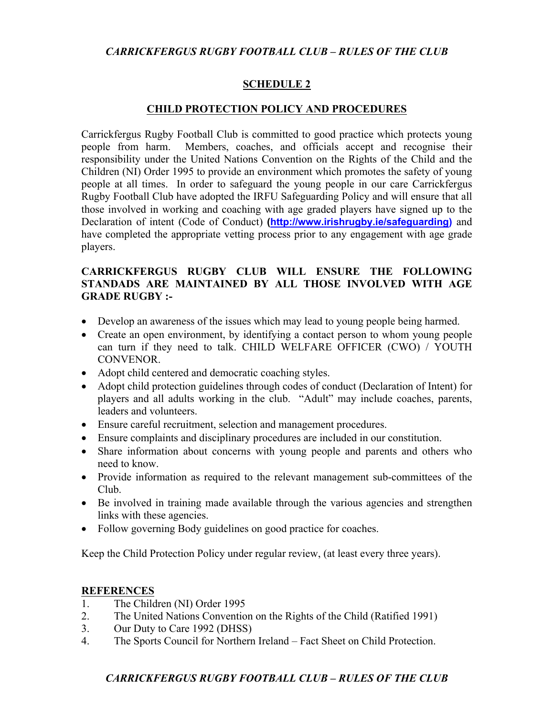### **SCHEDULE 2**

#### **CHILD PROTECTION POLICY AND PROCEDURES**

Carrickfergus Rugby Football Club is committed to good practice which protects young people from harm. Members, coaches, and officials accept and recognise their responsibility under the United Nations Convention on the Rights of the Child and the Children (NI) Order 1995 to provide an environment which promotes the safety of young people at all times. In order to safeguard the young people in our care Carrickfergus Rugby Football Club have adopted the IRFU Safeguarding Policy and will ensure that all those involved in working and coaching with age graded players have signed up to the Declaration of intent (Code of Conduct) **(http://www.irishrugby.ie/safeguarding)** and have completed the appropriate vetting process prior to any engagement with age grade players.

### **CARRICKFERGUS RUGBY CLUB WILL ENSURE THE FOLLOWING STANDADS ARE MAINTAINED BY ALL THOSE INVOLVED WITH AGE GRADE RUGBY :-**

- Develop an awareness of the issues which may lead to young people being harmed.
- Create an open environment, by identifying a contact person to whom young people can turn if they need to talk. CHILD WELFARE OFFICER (CWO) / YOUTH CONVENOR.
- Adopt child centered and democratic coaching styles.
- Adopt child protection guidelines through codes of conduct (Declaration of Intent) for players and all adults working in the club. "Adult" may include coaches, parents, leaders and volunteers.
- Ensure careful recruitment, selection and management procedures.
- Ensure complaints and disciplinary procedures are included in our constitution.
- Share information about concerns with young people and parents and others who need to know.
- Provide information as required to the relevant management sub-committees of the Club.
- Be involved in training made available through the various agencies and strengthen links with these agencies.
- Follow governing Body guidelines on good practice for coaches.

Keep the Child Protection Policy under regular review, (at least every three years).

### **REFERENCES**

- 1. The Children (NI) Order 1995
- 2. The United Nations Convention on the Rights of the Child (Ratified 1991)
- 3. Our Duty to Care 1992 (DHSS)
- 4. The Sports Council for Northern Ireland Fact Sheet on Child Protection.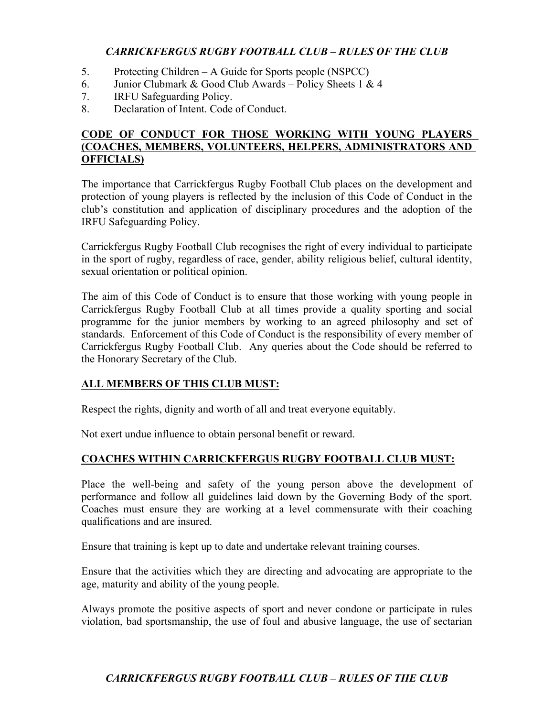- 5. Protecting Children A Guide for Sports people (NSPCC)
- 6. Junior Clubmark & Good Club Awards Policy Sheets 1 & 4
- 7. IRFU Safeguarding Policy.
- 8. Declaration of Intent. Code of Conduct.

### **CODE OF CONDUCT FOR THOSE WORKING WITH YOUNG PLAYERS (COACHES, MEMBERS, VOLUNTEERS, HELPERS, ADMINISTRATORS AND OFFICIALS)**

The importance that Carrickfergus Rugby Football Club places on the development and protection of young players is reflected by the inclusion of this Code of Conduct in the club's constitution and application of disciplinary procedures and the adoption of the IRFU Safeguarding Policy.

Carrickfergus Rugby Football Club recognises the right of every individual to participate in the sport of rugby, regardless of race, gender, ability religious belief, cultural identity, sexual orientation or political opinion.

The aim of this Code of Conduct is to ensure that those working with young people in Carrickfergus Rugby Football Club at all times provide a quality sporting and social programme for the junior members by working to an agreed philosophy and set of standards. Enforcement of this Code of Conduct is the responsibility of every member of Carrickfergus Rugby Football Club. Any queries about the Code should be referred to the Honorary Secretary of the Club.

# **ALL MEMBERS OF THIS CLUB MUST:**

Respect the rights, dignity and worth of all and treat everyone equitably.

Not exert undue influence to obtain personal benefit or reward.

# **COACHES WITHIN CARRICKFERGUS RUGBY FOOTBALL CLUB MUST:**

Place the well-being and safety of the young person above the development of performance and follow all guidelines laid down by the Governing Body of the sport. Coaches must ensure they are working at a level commensurate with their coaching qualifications and are insured.

Ensure that training is kept up to date and undertake relevant training courses.

Ensure that the activities which they are directing and advocating are appropriate to the age, maturity and ability of the young people.

Always promote the positive aspects of sport and never condone or participate in rules violation, bad sportsmanship, the use of foul and abusive language, the use of sectarian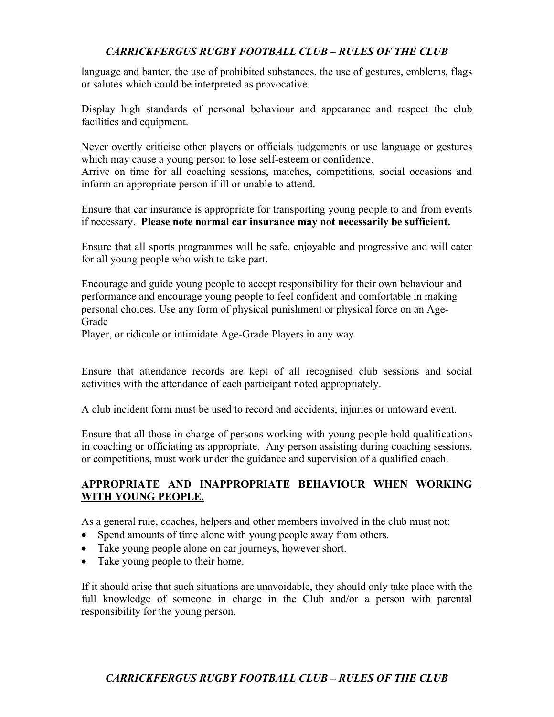language and banter, the use of prohibited substances, the use of gestures, emblems, flags or salutes which could be interpreted as provocative.

Display high standards of personal behaviour and appearance and respect the club facilities and equipment.

Never overtly criticise other players or officials judgements or use language or gestures which may cause a young person to lose self-esteem or confidence.

Arrive on time for all coaching sessions, matches, competitions, social occasions and inform an appropriate person if ill or unable to attend.

Ensure that car insurance is appropriate for transporting young people to and from events if necessary. **Please note normal car insurance may not necessarily be sufficient.**

Ensure that all sports programmes will be safe, enjoyable and progressive and will cater for all young people who wish to take part.

Encourage and guide young people to accept responsibility for their own behaviour and performance and encourage young people to feel confident and comfortable in making personal choices. Use any form of physical punishment or physical force on an Age-**Grade** 

Player, or ridicule or intimidate Age-Grade Players in any way

Ensure that attendance records are kept of all recognised club sessions and social activities with the attendance of each participant noted appropriately.

A club incident form must be used to record and accidents, injuries or untoward event.

Ensure that all those in charge of persons working with young people hold qualifications in coaching or officiating as appropriate. Any person assisting during coaching sessions, or competitions, must work under the guidance and supervision of a qualified coach.

#### **APPROPRIATE AND INAPPROPRIATE BEHAVIOUR WHEN WORKING WITH YOUNG PEOPLE.**

As a general rule, coaches, helpers and other members involved in the club must not:

- Spend amounts of time alone with young people away from others.
- Take young people alone on car journeys, however short.
- Take young people to their home.

If it should arise that such situations are unavoidable, they should only take place with the full knowledge of someone in charge in the Club and/or a person with parental responsibility for the young person.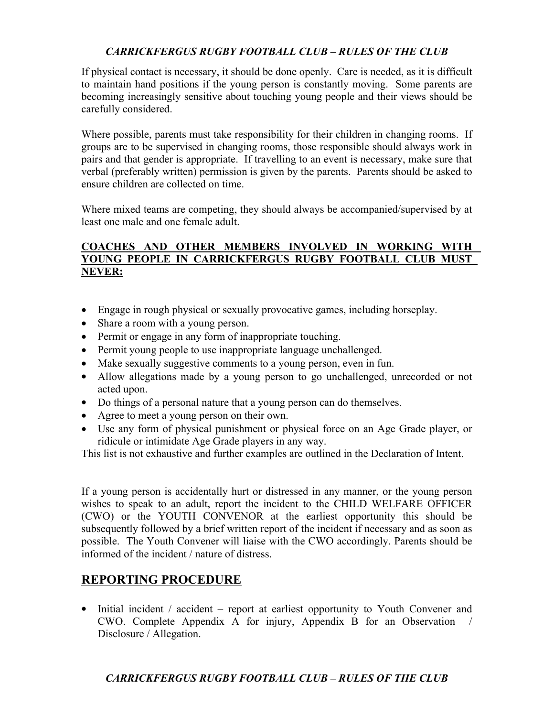If physical contact is necessary, it should be done openly. Care is needed, as it is difficult to maintain hand positions if the young person is constantly moving. Some parents are becoming increasingly sensitive about touching young people and their views should be carefully considered.

Where possible, parents must take responsibility for their children in changing rooms. If groups are to be supervised in changing rooms, those responsible should always work in pairs and that gender is appropriate. If travelling to an event is necessary, make sure that verbal (preferably written) permission is given by the parents. Parents should be asked to ensure children are collected on time.

Where mixed teams are competing, they should always be accompanied/supervised by at least one male and one female adult.

### **COACHES AND OTHER MEMBERS INVOLVED IN WORKING WITH YOUNG PEOPLE IN CARRICKFERGUS RUGBY FOOTBALL CLUB MUST NEVER:**

- Engage in rough physical or sexually provocative games, including horseplay.
- Share a room with a young person.
- Permit or engage in any form of inappropriate touching.
- Permit young people to use inappropriate language unchallenged.
- Make sexually suggestive comments to a young person, even in fun.
- Allow allegations made by a young person to go unchallenged, unrecorded or not acted upon.
- Do things of a personal nature that a young person can do themselves.
- Agree to meet a young person on their own.
- Use any form of physical punishment or physical force on an Age Grade player, or ridicule or intimidate Age Grade players in any way.

This list is not exhaustive and further examples are outlined in the Declaration of Intent.

If a young person is accidentally hurt or distressed in any manner, or the young person wishes to speak to an adult, report the incident to the CHILD WELFARE OFFICER (CWO) or the YOUTH CONVENOR at the earliest opportunity this should be subsequently followed by a brief written report of the incident if necessary and as soon as possible. The Youth Convener will liaise with the CWO accordingly. Parents should be informed of the incident / nature of distress.

# **REPORTING PROCEDURE**

• Initial incident / accident – report at earliest opportunity to Youth Convener and CWO. Complete Appendix A for injury, Appendix B for an Observation / Disclosure / Allegation.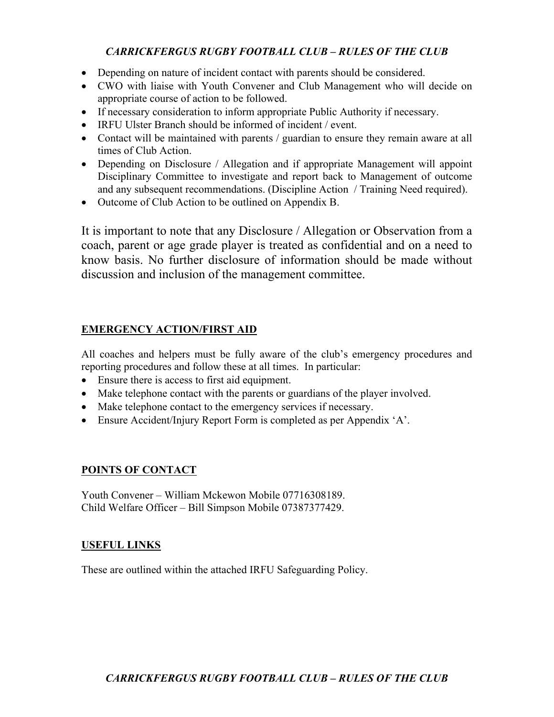- Depending on nature of incident contact with parents should be considered.
- CWO with liaise with Youth Convener and Club Management who will decide on appropriate course of action to be followed.
- If necessary consideration to inform appropriate Public Authority if necessary.
- IRFU Ulster Branch should be informed of incident / event.
- Contact will be maintained with parents / guardian to ensure they remain aware at all times of Club Action.
- Depending on Disclosure / Allegation and if appropriate Management will appoint Disciplinary Committee to investigate and report back to Management of outcome and any subsequent recommendations. (Discipline Action / Training Need required).
- Outcome of Club Action to be outlined on Appendix B.

It is important to note that any Disclosure / Allegation or Observation from a coach, parent or age grade player is treated as confidential and on a need to know basis. No further disclosure of information should be made without discussion and inclusion of the management committee.

## **EMERGENCY ACTION/FIRST AID**

All coaches and helpers must be fully aware of the club's emergency procedures and reporting procedures and follow these at all times. In particular:

- Ensure there is access to first aid equipment.
- Make telephone contact with the parents or guardians of the player involved.
- Make telephone contact to the emergency services if necessary.
- Ensure Accident/Injury Report Form is completed as per Appendix 'A'.

# **POINTS OF CONTACT**

Youth Convener – William Mckewon Mobile 07716308189. Child Welfare Officer – Bill Simpson Mobile 07387377429.

### **USEFUL LINKS**

These are outlined within the attached IRFU Safeguarding Policy.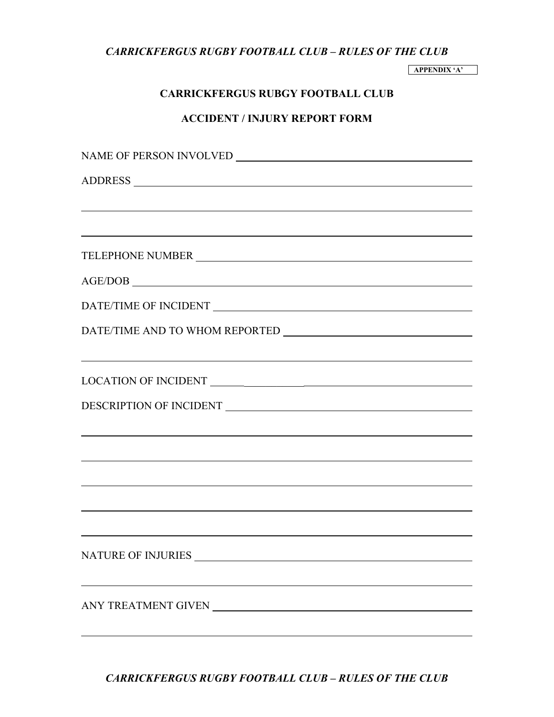**APPENDIX 'A'**

### **CARRICKFERGUS RUBGY FOOTBALL CLUB**

### **ACCIDENT / INJURY REPORT FORM**

| ,我们也不能在这里的时候,我们也不能在这里的时候,我们也不能在这里的时候,我们也不能会在这里的时候,我们也不能会在这里的时候,我们也不能会在这里的时候,我们也不                                                                      |
|-------------------------------------------------------------------------------------------------------------------------------------------------------|
| TELEPHONE NUMBER NEWSFILM                                                                                                                             |
| $\text{AGE/DOB} \_\_\_\_\_\_\_$                                                                                                                       |
|                                                                                                                                                       |
|                                                                                                                                                       |
| ,我们也不能在这里的时候,我们也不能在这里的时候,我们也不能会在这里,我们也不能会在这里的时候,我们也不能会在这里的时候,我们也不能会在这里的时候,我们也不能会                                                                      |
| LOCATION OF INCIDENT                                                                                                                                  |
|                                                                                                                                                       |
|                                                                                                                                                       |
| ,我们也不能在这里的时候,我们也不能在这里的时候,我们也不能会不能会不能会不能会不能会不能会不能会不能会不能会不能会不能会不能会。<br>第2012章 我们的时候,我们的时候,我们的时候,我们的时候,我们的时候,我们的时候,我们的时候,我们的时候,我们的时候,我们的时候,我们的时候,我们的时候,我 |
|                                                                                                                                                       |
|                                                                                                                                                       |
|                                                                                                                                                       |
|                                                                                                                                                       |
|                                                                                                                                                       |
|                                                                                                                                                       |
|                                                                                                                                                       |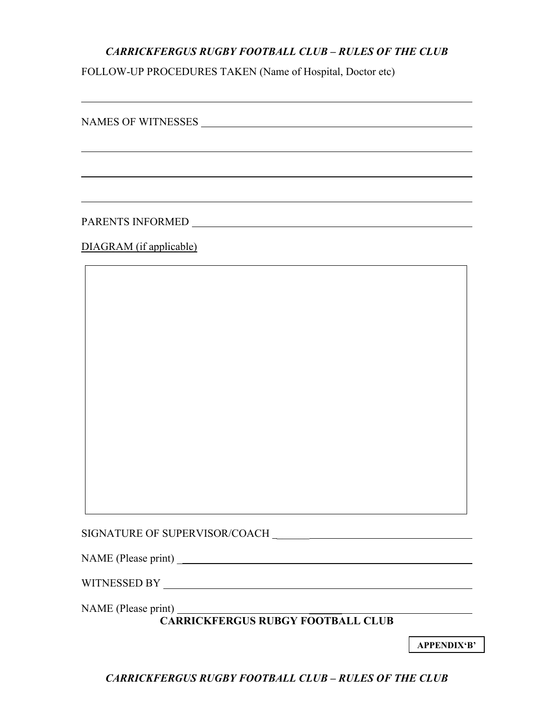FOLLOW-UP PROCEDURES TAKEN (Name of Hospital, Doctor etc)

NAMES OF WITNESSES

PARENTS INFORMED University of the set of the set of the set of the set of the set of the set of the set of the set of the set of the set of the set of the set of the set of the set of the set of the set of the set of the

DIAGRAM (if applicable)

SIGNATURE OF SUPERVISOR/COACH \_\_\_\_\_\_

NAME (Please print) \_

WITNESSED BY

NAME (Please print) \_

**CARRICKFERGUS RUBGY FOOTBALL CLUB**

**APPENDIX'B'**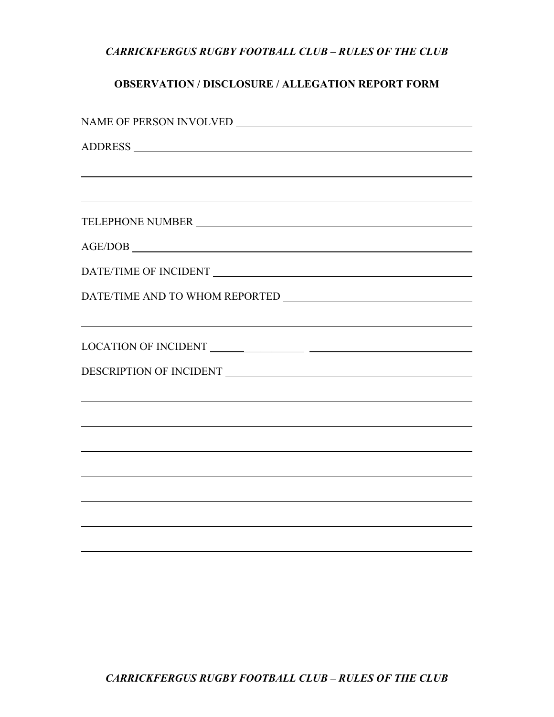# **OBSERVATION / DISCLOSURE / ALLEGATION REPORT FORM**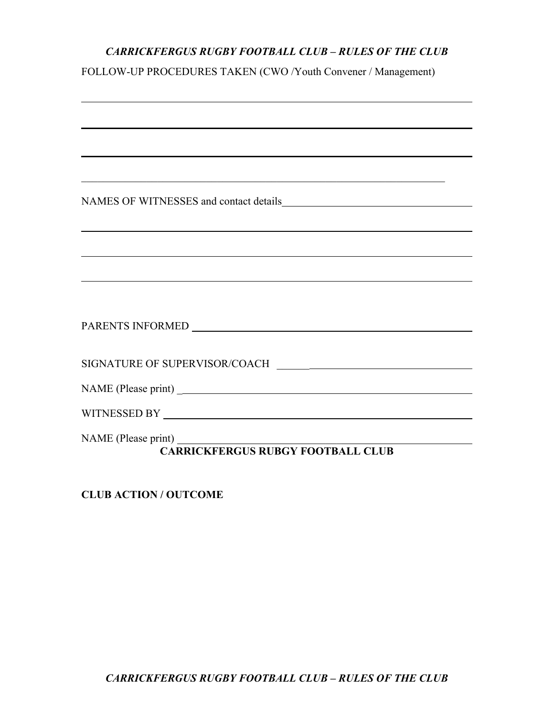FOLLOW-UP PROCEDURES TAKEN (CWO /Youth Convener / Management)

| <u> 1989 - Jan Samuel Barbara, margaret a shekara 1989 - Andrea Samuel Barbara, marka 1989 - Andrea Samuel Barbar</u>                           |
|-------------------------------------------------------------------------------------------------------------------------------------------------|
| ,我们也不会有什么。""我们的人,我们也不会有什么?""我们的人,我们也不会有什么?""我们的人,我们也不会有什么?""我们的人,我们也不会有什么?""我们的人                                                                |
| ,我们也不能在这里的时候,我们也不能在这里的时候,我们也不能不能不能不能不能不能不能不能不能不能不能不能不能不能不能。<br>第2012章 我们的时候,我们的时候,我们的时候,我们的时候,我们的时候,我们的时候,我们的时候,我们的时候,我们的时候,我们的时候,我们的时候,我们的时候,我 |
|                                                                                                                                                 |
|                                                                                                                                                 |
|                                                                                                                                                 |
|                                                                                                                                                 |
|                                                                                                                                                 |
| <b>Tint)</b><br>CARRICKFERGUS RUBGY FOOTBALL CLUB                                                                                               |

**CLUB ACTION / OUTCOME**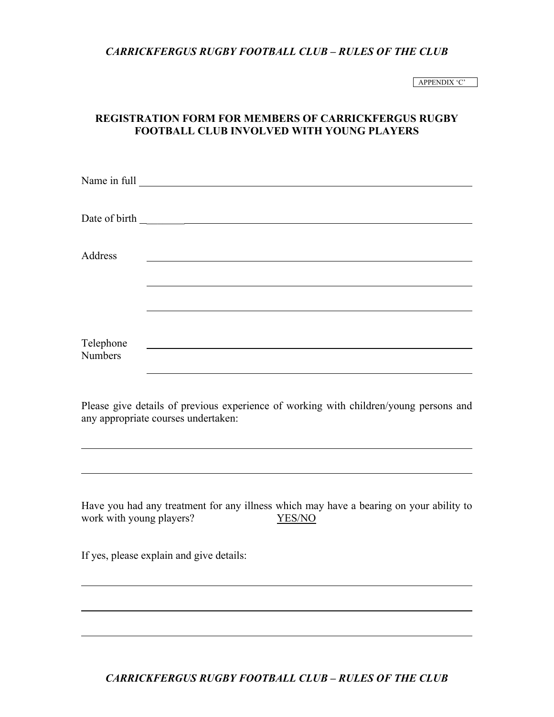APPENDIX 'C'

### **REGISTRATION FORM FOR MEMBERS OF CARRICKFERGUS RUGBY FOOTBALL CLUB INVOLVED WITH YOUNG PLAYERS**

| Address        |                                                                                                                                                                                                                               |  |
|----------------|-------------------------------------------------------------------------------------------------------------------------------------------------------------------------------------------------------------------------------|--|
|                |                                                                                                                                                                                                                               |  |
| Telephone      |                                                                                                                                                                                                                               |  |
| <b>Numbers</b> | the control of the control of the control of the control of the control of the control of the control of the control of the control of the control of the control of the control of the control of the control of the control |  |
|                | Please give details of previous experience of working with children/young persons and<br>any appropriate courses undertaken:                                                                                                  |  |

Have you had any treatment for any illness which may have a bearing on your ability to work with young players? YES/NO

If yes, please explain and give details: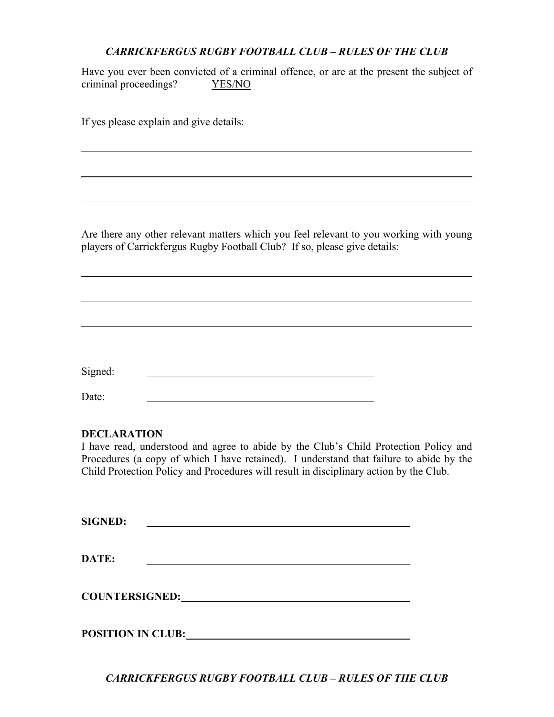Have you ever been convicted of a criminal offence, or are at the present the subject of criminal proceedings? YES/NO

If yes please explain and give details:

Are there any other relevant matters which you feel relevant to you working with young players of Carrickfergus Rugby Football Club? If so, please give details:

Signed: The contract of the contract of the contract of the contract of the contract of the contract of the contract of the contract of the contract of the contract of the contract of the contract of the contract of the co

Date:

#### **DECLARATION**

I have read, understood and agree to abide by the Club's Child Protection Policy and Procedures (a copy of which I have retained). I understand that failure to abide by the Child Protection Policy and Procedures will result in disciplinary action by the Club.

**SIGNED:**

**DATE:**

**COUNTERSIGNED:**

**POSITION IN CLUB:**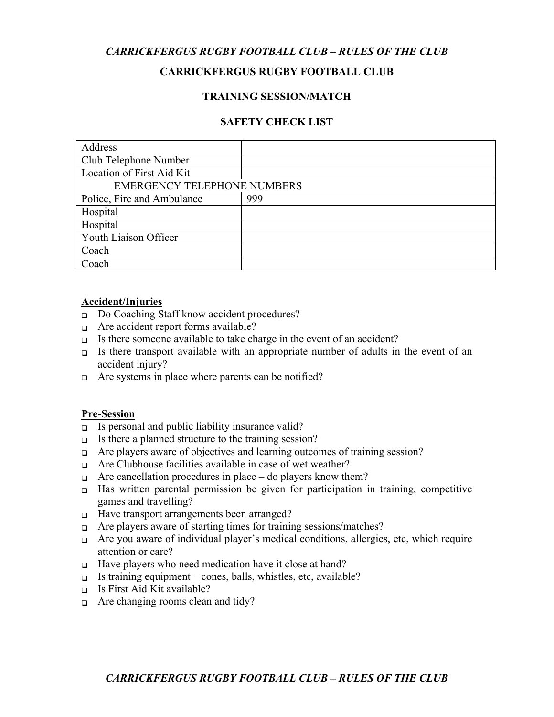#### **CARRICKFERGUS RUGBY FOOTBALL CLUB**

#### **TRAINING SESSION/MATCH**

#### **SAFETY CHECK LIST**

| Address                            |     |  |  |
|------------------------------------|-----|--|--|
| Club Telephone Number              |     |  |  |
| Location of First Aid Kit          |     |  |  |
| <b>EMERGENCY TELEPHONE NUMBERS</b> |     |  |  |
| Police, Fire and Ambulance         | 999 |  |  |
| Hospital                           |     |  |  |
| Hospital                           |     |  |  |
| Youth Liaison Officer              |     |  |  |
| Coach                              |     |  |  |
| Coach                              |     |  |  |

#### **Accident/Injuries**

- Do Coaching Staff know accident procedures?
- $\Box$  Are accident report forms available?
- $\Box$  Is there someone available to take charge in the event of an accident?
- $\Box$  Is there transport available with an appropriate number of adults in the event of an accident injury?
- $\Box$  Are systems in place where parents can be notified?

#### **Pre-Session**

- $\Box$  Is personal and public liability insurance valid?
- $\Box$  Is there a planned structure to the training session?
- $\Box$  Are players aware of objectives and learning outcomes of training session?
- $\Box$  Are Clubhouse facilities available in case of wet weather?
- $\Box$  Are cancellation procedures in place do players know them?
- Has written parental permission be given for participation in training, competitive games and travelling?
- □ Have transport arrangements been arranged?
- $\Box$  Are players aware of starting times for training sessions/matches?
- Are you aware of individual player's medical conditions, allergies, etc, which require attention or care?
- $\Box$  Have players who need medication have it close at hand?
- □ Is training equipment cones, balls, whistles, etc, available?
- $\Box$  Is First Aid Kit available?
- $\Box$  Are changing rooms clean and tidy?